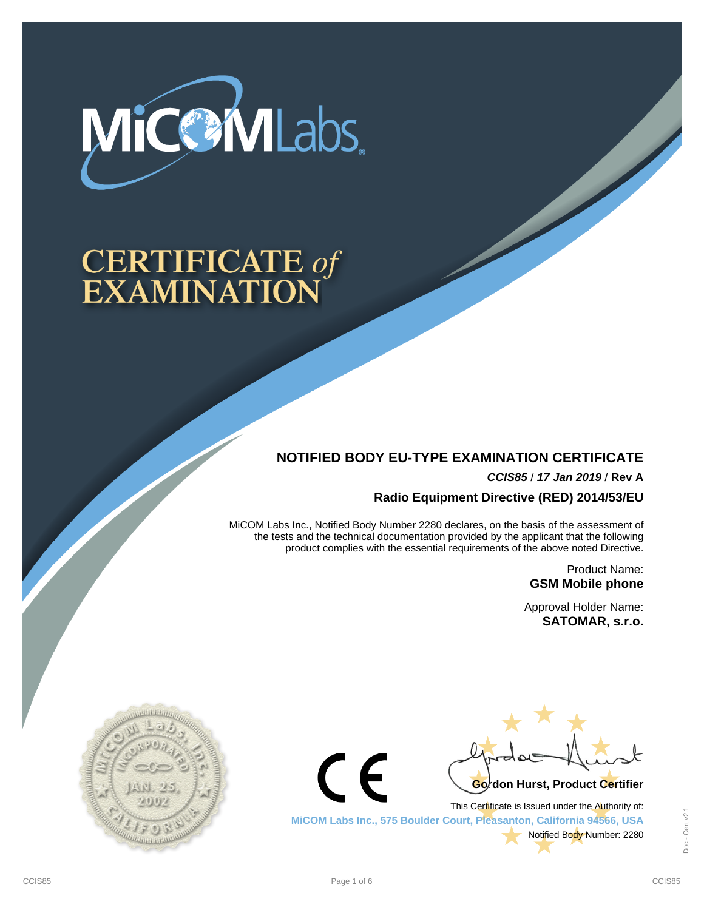

# **CERTIFICATE of<br>EXAMINATION**

# **NOTIFIED BODY EU-TYPE EXAMINATION CERTIFICATE**

**CCIS85** / **17 Jan 2019** / **Rev A**

**Radio Equipment Directive (RED) 2014/53/EU**

MiCOM Labs Inc., Notified Body Number 2280 declares, on the basis of the assessment of the tests and the technical documentation provided by the applicant that the following product complies with the essential requirements of the above noted Directive.

> Product Name: **GSM Mobile phone**

Approval Holder Name: **SATOMAR, s.r.o.**





This Certificate is Issued under the Authority of: **MiCOM Labs Inc., 575 Boulder Court, Pleasanton, California 94566, USA** Notified Body Number: 2280

 $\epsilon$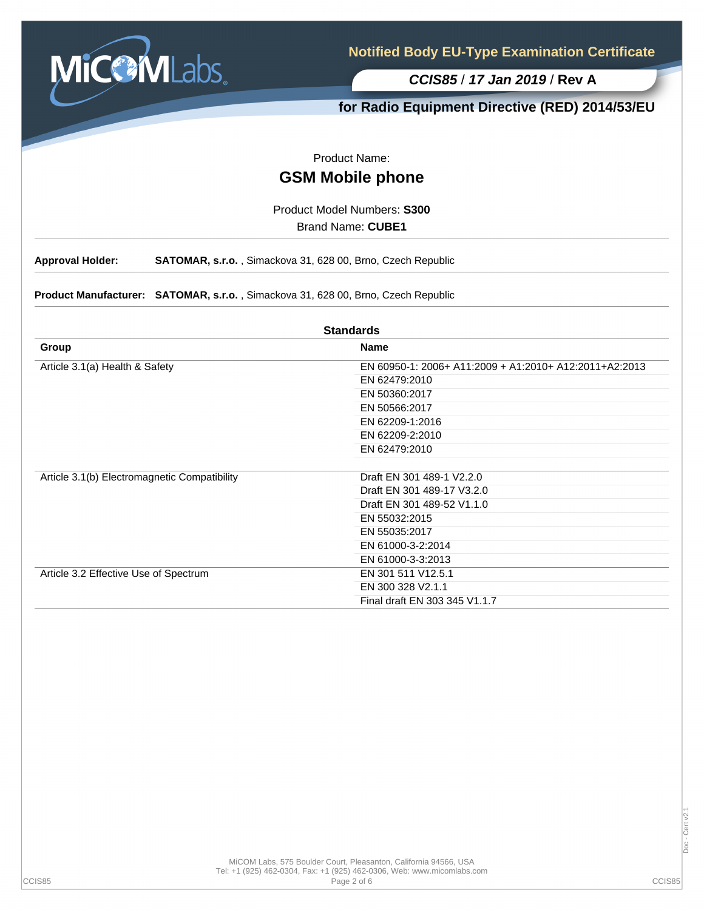

# **for Radio Equipment Directive (RED) 2014/53/EU**

Product Name:

# **GSM Mobile phone**

Product Model Numbers: **S300**

Brand Name: **CUBE1**

**Approval Holder: SATOMAR, s.r.o.** , Simackova 31, 628 00, Brno, Czech Republic

**Product Manufacturer: SATOMAR, s.r.o.** , Simackova 31, 628 00, Brno, Czech Republic

| <b>Standards</b>                             |                                                        |  |  |  |  |
|----------------------------------------------|--------------------------------------------------------|--|--|--|--|
| Group                                        | <b>Name</b>                                            |  |  |  |  |
| Article 3.1(a) Health & Safety               | EN 60950-1: 2006+ A11:2009 + A1:2010+ A12:2011+A2:2013 |  |  |  |  |
|                                              | EN 62479:2010                                          |  |  |  |  |
|                                              | EN 50360:2017                                          |  |  |  |  |
|                                              | EN 50566:2017                                          |  |  |  |  |
|                                              | EN 62209-1:2016                                        |  |  |  |  |
|                                              | EN 62209-2:2010                                        |  |  |  |  |
|                                              | EN 62479:2010                                          |  |  |  |  |
|                                              |                                                        |  |  |  |  |
| Article 3.1(b) Electromagnetic Compatibility | Draft EN 301 489-1 V2.2.0                              |  |  |  |  |
|                                              | Draft EN 301 489-17 V3.2.0                             |  |  |  |  |
|                                              | Draft EN 301 489-52 V1.1.0                             |  |  |  |  |
|                                              | EN 55032:2015                                          |  |  |  |  |
|                                              | EN 55035:2017                                          |  |  |  |  |
|                                              | EN 61000-3-2:2014                                      |  |  |  |  |
|                                              | EN 61000-3-3:2013                                      |  |  |  |  |
| Article 3.2 Effective Use of Spectrum        | EN 301 511 V12.5.1                                     |  |  |  |  |
|                                              | EN 300 328 V2.1.1                                      |  |  |  |  |
|                                              | Final draft EN 303 345 V1.1.7                          |  |  |  |  |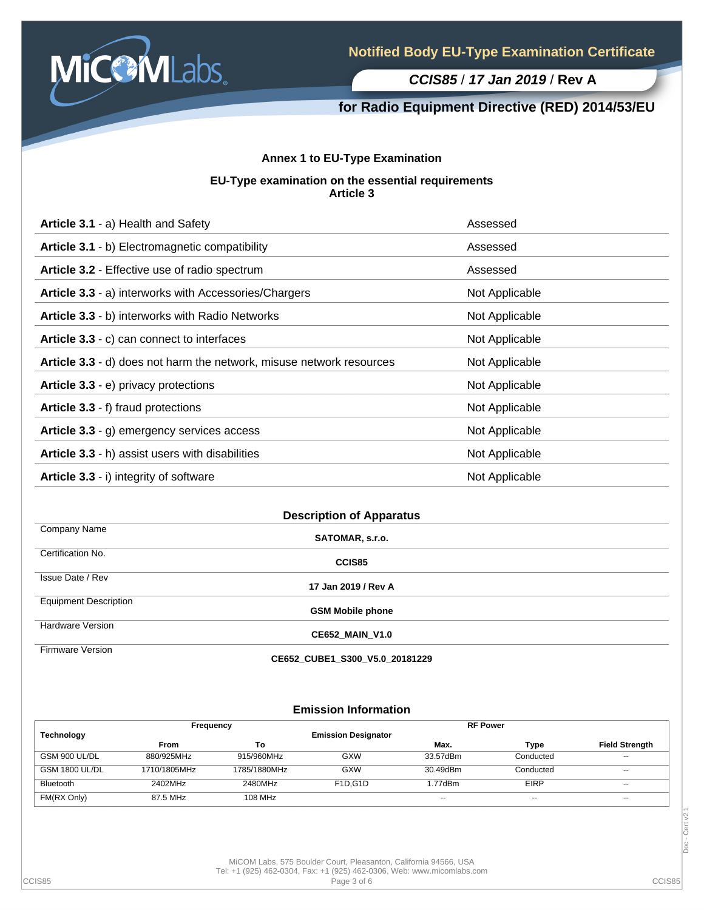

# **for Radio Equipment Directive (RED) 2014/53/EU**

## **Annex 1 to EU-Type Examination**

#### **EU-Type examination on the essential requirements Article 3**

| Article 3.1 - a) Health and Safety                                   | Assessed       |
|----------------------------------------------------------------------|----------------|
| Article 3.1 - b) Electromagnetic compatibility                       | Assessed       |
| Article 3.2 - Effective use of radio spectrum                        | Assessed       |
| Article 3.3 - a) interworks with Accessories/Chargers                | Not Applicable |
| Article 3.3 - b) interworks with Radio Networks                      | Not Applicable |
| Article 3.3 - c) can connect to interfaces                           | Not Applicable |
| Article 3.3 - d) does not harm the network, misuse network resources | Not Applicable |
| Article 3.3 - e) privacy protections                                 | Not Applicable |
| Article 3.3 - f) fraud protections                                   | Not Applicable |
| Article 3.3 - g) emergency services access                           | Not Applicable |
| Article 3.3 - h) assist users with disabilities                      | Not Applicable |
| Article 3.3 - i) integrity of software                               | Not Applicable |

| <b>Description of Apparatus</b> |                                |  |  |  |
|---------------------------------|--------------------------------|--|--|--|
| Company Name                    | SATOMAR, s.r.o.                |  |  |  |
| Certification No.               | CCIS85                         |  |  |  |
| Issue Date / Rev                | 17 Jan 2019 / Rev A            |  |  |  |
| <b>Equipment Description</b>    | <b>GSM Mobile phone</b>        |  |  |  |
| <b>Hardware Version</b>         | <b>CE652 MAIN V1.0</b>         |  |  |  |
| <b>Firmware Version</b>         | CE652 CUBE1 S300 V5.0 20181229 |  |  |  |

**Emission Information**

| <b>Technology</b>     | Frequency    |              | <b>Emission Designator</b>        | <b>RF Power</b> |             |                       |
|-----------------------|--------------|--------------|-----------------------------------|-----------------|-------------|-----------------------|
|                       | <b>From</b>  | To           |                                   | Max.            | Type        | <b>Field Strength</b> |
| GSM 900 UL/DL         | 880/925MHz   | 915/960MHz   | <b>GXW</b>                        | 33.57dBm        | Conducted   | $- -$                 |
| <b>GSM 1800 UL/DL</b> | 1710/1805MHz | 1785/1880MHz | <b>GXW</b>                        | 30.49dBm        | Conducted   | $-$                   |
| <b>Bluetooth</b>      | 2402MHz      | 2480MHz      | F <sub>1</sub> D.G <sub>1</sub> D | 1.77dBm         | <b>EIRP</b> | $- -$                 |
| FM(RX Only)           | 87.5 MHz     | 108 MHz      |                                   | $- -$           | $- -$       | $- -$                 |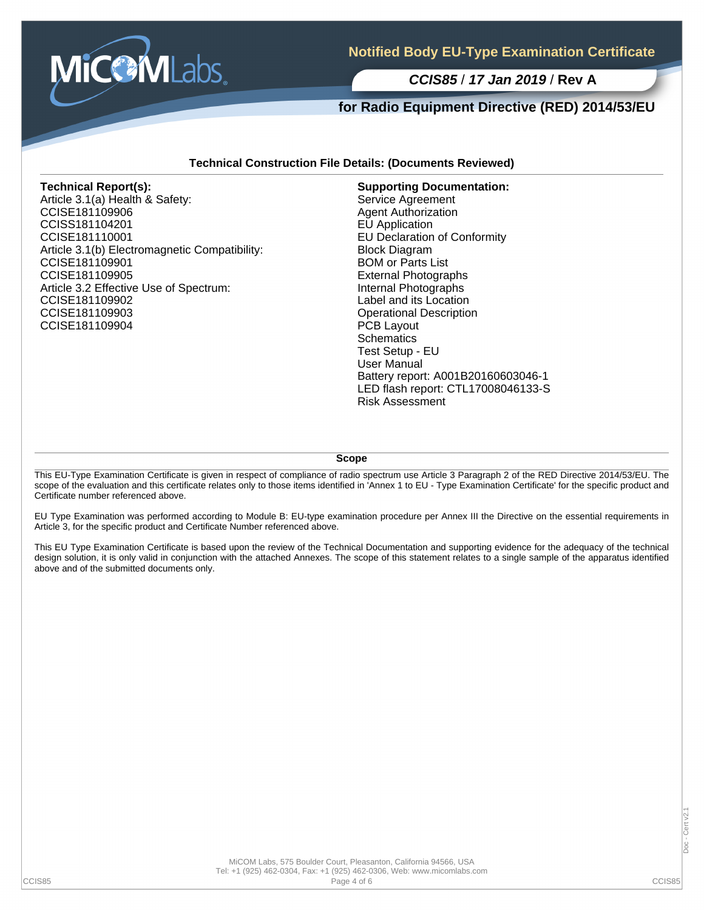

# **for Radio Equipment Directive (RED) 2014/53/EU**

#### **Technical Construction File Details: (Documents Reviewed)**

#### **Technical Report(s):**

Article 3.1(a) Health & Safety: CCISE181109906 CCISS181104201 CCISE181110001 Article 3.1(b) Electromagnetic Compatibility: CCISE181109901 CCISE181109905 Article 3.2 Effective Use of Spectrum: CCISE181109902 CCISE181109903 CCISE181109904

**Supporting Documentation:** Service Agreement Agent Authorization EU Application EU Declaration of Conformity Block Diagram BOM or Parts List External Photographs Internal Photographs Label and its Location Operational Description PCB Layout **Schematics** Test Setup - EU User Manual Battery report: A001B20160603046-1 LED flash report: CTL17008046133-S Risk Assessment

**Scope**

This EU-Type Examination Certificate is given in respect of compliance of radio spectrum use Article 3 Paragraph 2 of the RED Directive 2014/53/EU. The scope of the evaluation and this certificate relates only to those items identified in 'Annex 1 to EU - Type Examination Certificate' for the specific product and Certificate number referenced above.

EU Type Examination was performed according to Module B: EU-type examination procedure per Annex III the Directive on the essential requirements in Article 3, for the specific product and Certificate Number referenced above.

This EU Type Examination Certificate is based upon the review of the Technical Documentation and supporting evidence for the adequacy of the technical design solution, it is only valid in conjunction with the attached Annexes. The scope of this statement relates to a single sample of the apparatus identified above and of the submitted documents only.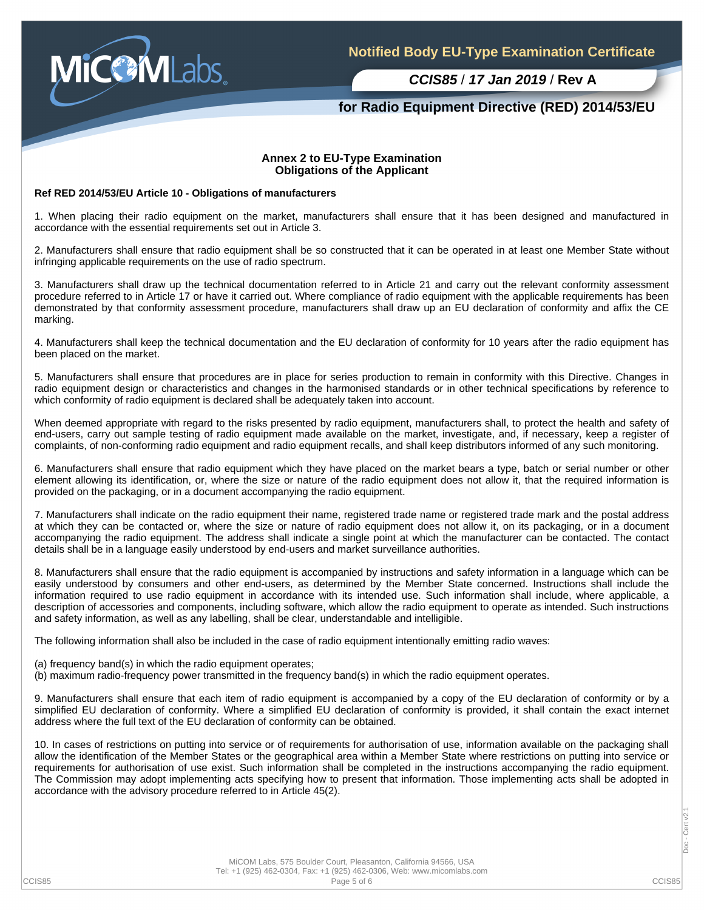

## **for Radio Equipment Directive (RED) 2014/53/EU**

#### **Annex 2 to EU-Type Examination Obligations of the Applicant**

#### **Ref RED 2014/53/EU Article 10 - Obligations of manufacturers**

1. When placing their radio equipment on the market, manufacturers shall ensure that it has been designed and manufactured in accordance with the essential requirements set out in Article 3.

2. Manufacturers shall ensure that radio equipment shall be so constructed that it can be operated in at least one Member State without infringing applicable requirements on the use of radio spectrum.

3. Manufacturers shall draw up the technical documentation referred to in Article 21 and carry out the relevant conformity assessment procedure referred to in Article 17 or have it carried out. Where compliance of radio equipment with the applicable requirements has been demonstrated by that conformity assessment procedure, manufacturers shall draw up an EU declaration of conformity and affix the CE marking.

4. Manufacturers shall keep the technical documentation and the EU declaration of conformity for 10 years after the radio equipment has been placed on the market.

5. Manufacturers shall ensure that procedures are in place for series production to remain in conformity with this Directive. Changes in radio equipment design or characteristics and changes in the harmonised standards or in other technical specifications by reference to which conformity of radio equipment is declared shall be adequately taken into account.

When deemed appropriate with regard to the risks presented by radio equipment, manufacturers shall, to protect the health and safety of end-users, carry out sample testing of radio equipment made available on the market, investigate, and, if necessary, keep a register of complaints, of non-conforming radio equipment and radio equipment recalls, and shall keep distributors informed of any such monitoring.

6. Manufacturers shall ensure that radio equipment which they have placed on the market bears a type, batch or serial number or other element allowing its identification, or, where the size or nature of the radio equipment does not allow it, that the required information is provided on the packaging, or in a document accompanying the radio equipment.

7. Manufacturers shall indicate on the radio equipment their name, registered trade name or registered trade mark and the postal address at which they can be contacted or, where the size or nature of radio equipment does not allow it, on its packaging, or in a document accompanying the radio equipment. The address shall indicate a single point at which the manufacturer can be contacted. The contact details shall be in a language easily understood by end-users and market surveillance authorities.

8. Manufacturers shall ensure that the radio equipment is accompanied by instructions and safety information in a language which can be easily understood by consumers and other end-users, as determined by the Member State concerned. Instructions shall include the information required to use radio equipment in accordance with its intended use. Such information shall include, where applicable, a description of accessories and components, including software, which allow the radio equipment to operate as intended. Such instructions and safety information, as well as any labelling, shall be clear, understandable and intelligible.

The following information shall also be included in the case of radio equipment intentionally emitting radio waves:

(a) frequency band(s) in which the radio equipment operates;

(b) maximum radio-frequency power transmitted in the frequency band(s) in which the radio equipment operates.

9. Manufacturers shall ensure that each item of radio equipment is accompanied by a copy of the EU declaration of conformity or by a simplified EU declaration of conformity. Where a simplified EU declaration of conformity is provided, it shall contain the exact internet address where the full text of the EU declaration of conformity can be obtained.

10. In cases of restrictions on putting into service or of requirements for authorisation of use, information available on the packaging shall allow the identification of the Member States or the geographical area within a Member State where restrictions on putting into service or requirements for authorisation of use exist. Such information shall be completed in the instructions accompanying the radio equipment. The Commission may adopt implementing acts specifying how to present that information. Those implementing acts shall be adopted in accordance with the advisory procedure referred to in Article 45(2).